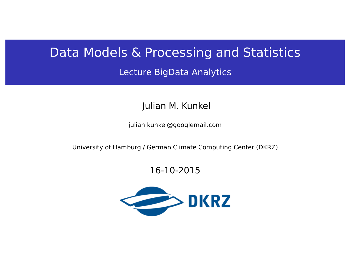# Data Models & Processing and Statistics

Lecture BigData Analytics

Julian M. Kunkel

<julian.kunkel@googlemail.com>

University of Hamburg / German Climate Computing Center (DKRZ)

16-10-2015

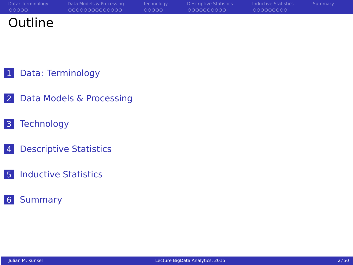| Data: Terminology | Data Models & Processing | Technology | Descriptive Statistics | <b>Inductive Statistics</b> | Summary |
|-------------------|--------------------------|------------|------------------------|-----------------------------|---------|
| 00000             | 00000000000000           | LOQQQQ     | 0000000000             | 000000000                   |         |
| Outline           |                          |            |                        |                             |         |

- [Data: Terminology](#page-2-0)
- [Data Models & Processing](#page-7-0)
- [Technology](#page-22-0)
- [Descriptive Statistics](#page-28-0)
- [Inductive Statistics](#page-39-0)
- [Summary](#page-49-0)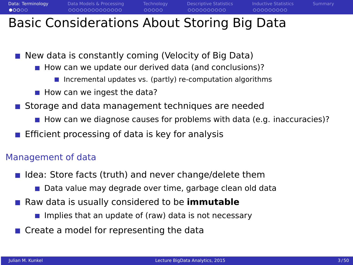<span id="page-2-0"></span>**[Data: Terminology](#page-2-0)** [Data Models & Processing](#page-7-0) [Technology](#page-22-0) [Descriptive Statistics](#page-28-0) [Inductive Statistics](#page-39-0) [Summary](#page-49-0)  $00000$  $00000$ 000000000 Basic Considerations About Storing Big Data

 $\blacksquare$  New data is constantly coming (Velocity of Big Data)

- $\blacksquare$  How can we update our derived data (and conclusions)?
	- $\blacksquare$  Incremental updates vs. (partly) re-computation algorithms
- $\blacksquare$  How can we ingest the data?
- Storage and data management techniques are needed
	- How can we diagnose causes for problems with data (e.g. inaccuracies)?
- Efficient processing of data is key for analysis

#### Management of data

- $\blacksquare$  Idea: Store facts (truth) and never change/delete them
	- Data value may degrade over time, garbage clean old data
- Raw data is usually considered to be **immutable** 
	- Implies that an update of (raw) data is not necessary
- Create a model for representing the data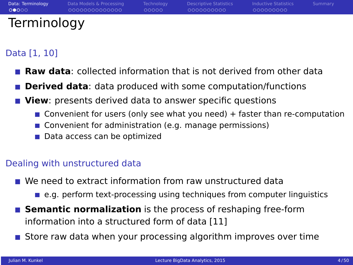| Data: Terminology | Data Models & Processing | Technology | Descriptive Statistics | <b>Inductive Statistics</b> | Summary |
|-------------------|--------------------------|------------|------------------------|-----------------------------|---------|
| 00000             | 00000000000000           | COOOO      | 0000000000             | 000000000                   |         |
| Terminology       |                          |            |                        |                             |         |

### Data [1, 10]

- **Raw data**: collected information that is not derived from other data
- **Derived data**: data produced with some computation/functions
- **View**: presents derived data to answer specific questions
	- $\blacksquare$  Convenient for users (only see what you need) + faster than re-computation
	- Convenient for administration (e.g. manage permissions)
	- Data access can be optimized

#### Dealing with unstructured data

- We need to extract information from raw unstructured data
	- $\blacksquare$  e.g. perform text-processing using techniques from computer linguistics
- **Semantic normalization** is the process of reshaping free-form information into a structured form of data [11]
- **Store raw data when your processing algorithm improves over time**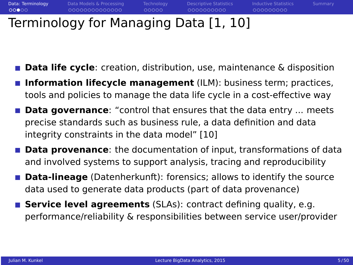$00000$ 

# Terminology for Managing Data [1, 10]

- **Data life cycle**: creation, distribution, use, maintenance & disposition
- **Information lifecycle management** (ILM): business term; practices, tools and policies to manage the data life cycle in a cost-effective way
- **Data governance**: "control that ensures that the data entry ... meets precise standards such as business rule, a data definition and data integrity constraints in the data model" [10]
- **Data provenance**: the documentation of input, transformations of data and involved systems to support analysis, tracing and reproducibility
- **Data-lineage** (Datenherkunft): forensics; allows to identify the source data used to generate data products (part of data provenance)
- **Service level agreements** (SLAs): contract defining quality, e.g. performance/reliability & responsibilities between service user/provider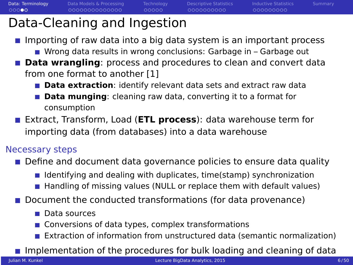$00000$ 

0000000000

000000000

# Data-Cleaning and Ingestion

- **Importing of raw data into a big data system is an important process** 
	- Wrong data results in wrong conclusions: Garbage in Garbage out
- **Data wrangling**: process and procedures to clean and convert data from one format to another [1]
	- **Data extraction**: identify relevant data sets and extract raw data
	- **Data munging**: cleaning raw data, converting it to a format for consumption
- Extract, Transform, Load (**ETL process**): data warehouse term for importing data (from databases) into a data warehouse

### Necessary steps

- **Define and document data governance policies to ensure data quality** 
	- **I** Identifying and dealing with duplicates, time(stamp) synchronization
	- **Hendling of missing values (NULL or replace them with default values)**
- **D** Document the conducted transformations (for data provenance)
	- **Data sources**
	- Conversions of data types, complex transformations
	- Extraction of information from unstructured data (semantic normalization)

Implementation of the procedures for bulk loading and cleaning of data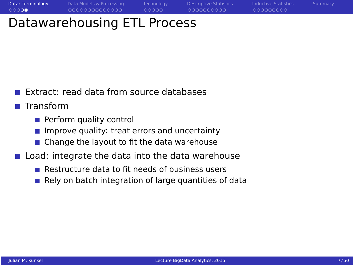0000000000

000000000

# Datawarehousing ETL Process

Extract: read data from source databases

**■ Transform** 

- **Perform quality control**
- Improve quality: treat errors and uncertainty
- Change the layout to fit the data warehouse
- **Load: integrate the data into the data warehouse** 
	- $\blacksquare$  Restructure data to fit needs of business users
	- Rely on batch integration of large quantities of data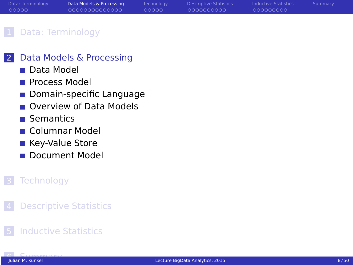<span id="page-7-0"></span>

| Data: Terminology | Data Models & Processing | Technology | <b>Descriptive Statistics</b> | <b>Inductive Statistics</b> | Summary |
|-------------------|--------------------------|------------|-------------------------------|-----------------------------|---------|
| 00000             | 00000000000000           | ററററ       | 0000000000                    | 000000000                   |         |

#### [Data: Terminology](#page-2-0)

#### 2 [Data Models & Processing](#page-7-0)

- [Data Model](#page-8-0)
- **[Process Model](#page-9-0)**
- [Domain-specific Language](#page-11-0)
- [Overview of Data Models](#page-12-0)
- **■** [Semantics](#page-13-0)
- [Columnar Model](#page-15-0)
- [Key-Value Store](#page-16-0)
- [Document Model](#page-17-0)

### **[Technology](#page-22-0)**

**[Descriptive Statistics](#page-28-0)** 

### **[Inductive Statistics](#page-39-0)**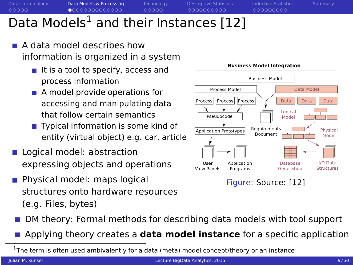<span id="page-8-0"></span>

# Data Models<sup>1</sup> and their Instances [12]

- A data model describes how information is organized in a system
	- $\blacksquare$  It is a tool to specify, access and process information
	- A model provide operations for accessing and manipulating data that follow certain semantics
	- Typical information is some kind of entity (virtual object) e.g. car, article
- Logical model: abstraction expressing objects and operations
- **Physical model: maps logical** structures onto hardware resources (e.g. Files, bytes)



**Business Model Integration** 

Figure: Source: [12]

- DM theory: Formal methods for describing data models with tool support
- Applying theory creates a **data model instance** for a specific application

 $^1$ The term is often used ambivalently for a data (meta) model concept/theory or an instance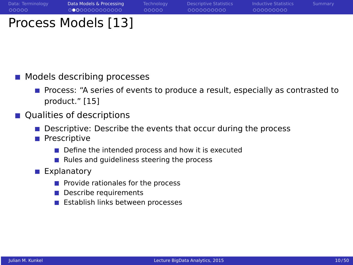## <span id="page-9-0"></span>Process Models [13]

- **Models describing processes** 
	- **Process: "A series of events to produce a result, especially as contrasted to** product." [15]
- Qualities of descriptions
	- Descriptive: Describe the events that occur during the process
	- **Prescriptive** 
		- $\blacksquare$  Define the intended process and how it is executed
		- Rules and quideliness steering the process
	- **Explanatory** 
		- $\blacksquare$  Provide rationales for the process
		- Describe requirements
		- **E** Establish links between processes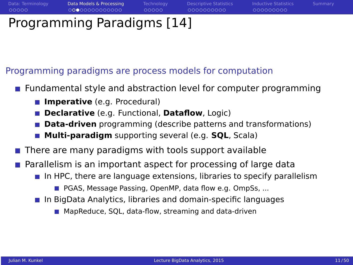0000000000

000000000

# Programming Paradigms [14]

### Programming paradigms are process models for computation

- **Fundamental style and abstraction level for computer programming** 
	- **Imperative** (e.g. Procedural)
	- **Declarative** (e.g. Functional, **Dataflow**, Logic)
	- **Data-driven** programming (describe patterns and transformations)
	- **Multi-paradigm** supporting several (e.g. **SQL**, Scala)
- There are many paradigms with tools support available
- Parallelism is an important aspect for processing of large data
	- **In HPC, there are language extensions, libraries to specify parallelism** 
		- **PGAS, Message Passing, OpenMP, data flow e.g. OmpSs...**
	- **In BigData Analytics, libraries and domain-specific languages** 
		- MapReduce, SOL, data-flow, streaming and data-driven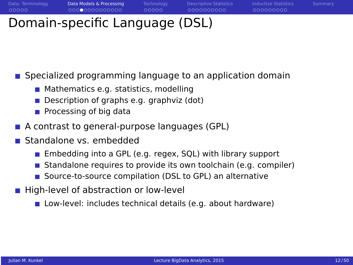$00000$ 

000000000

# <span id="page-11-0"></span>Domain-specific Language (DSL)

**Specialized programming language to an application domain** 

- **Mathematics e.g. statistics, modelling**
- Description of graphs e.g. graphviz (dot)
- $\blacksquare$  Processing of big data
- A contrast to general-purpose languages (GPL)
- Standalone vs. embedded
	- **Embedding into a GPL (e.g. regex, SQL) with library support**
	- Standalone requires to provide its own toolchain (e.g. compiler) п
	- Source-to-source compilation (DSL to GPL) an alternative
- High-level of abstraction or low-level
	- Low-level: includes technical details (e.g. about hardware)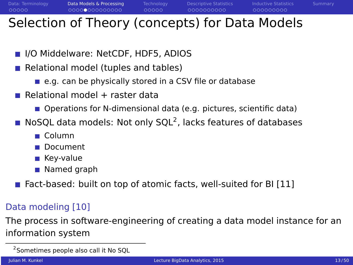## <span id="page-12-0"></span>Selection of Theory (concepts) for Data Models

- **III** I/O Middelware: NetCDF, HDF5, ADIOS
- Relational model (tuples and tables)
	- e.g. can be physically stored in a CSV file or database
- Relational model + raster data
	- **Depations for N-dimensional data (e.g. pictures, scientific data)**
- NoSQL data models: Not only SQL<sup>2</sup>, lacks features of databases
	- Column
	- Document
	- Key-value
	- **Named graph**
- Fact-based: built on top of atomic facts, well-suited for BI [11]

### Data modeling [10]

The process in software-engineering of creating a data model instance for an information system

<sup>&</sup>lt;sup>2</sup> Sometimes people also call it No SQL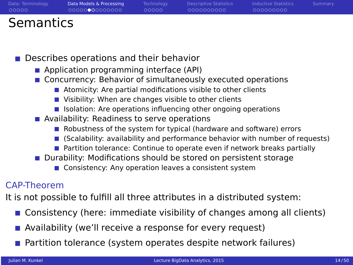<span id="page-13-0"></span>

| Data: Terminology | Data Models & Processing | Technology | Descriptive Statistics | <b>Inductive Statistics</b> | Summary |
|-------------------|--------------------------|------------|------------------------|-----------------------------|---------|
| - 00000           | 00000000000000           | looppo     | LOQQQQQQQQQ            | LOOOOOOOOO                  |         |
| Semantics         |                          |            |                        |                             |         |

Describes operations and their behavior

- **Application programming interface (API)**
- Concurrency: Behavior of simultaneously executed operations
	- Atomicity: Are partial modifications visible to other clients
	- Visibility: When are changes visible to other clients
	- $\blacksquare$  Isolation: Are operations influencing other ongoing operations
- Availability: Readiness to serve operations
	- Robustness of the system for typical (hardware and software) errors
	- (Scalability: availability and performance behavior with number of requests)
	- **Partition tolerance: Continue to operate even if network breaks partially**
- Durability: Modifications should be stored on persistent storage
	- Consistency: Any operation leaves a consistent system

#### CAP-Theorem

It is not possible to fulfill all three attributes in a distributed system:

- **Consistency (here: immediate visibility of changes among all clients)**
- **Availability (we'll receive a response for every request)**
- **Partition tolerance (system operates despite network failures)**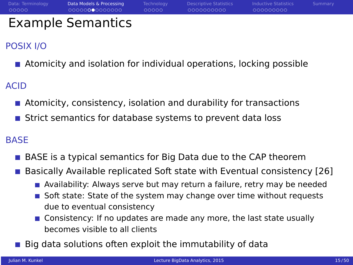| Data: Terminology | Data Models & Processing | <b>Technology</b> | Descriptive Statistics | <b>Inductive Statistics</b> | Summary |
|-------------------|--------------------------|-------------------|------------------------|-----------------------------|---------|
| 00000             | 00000000000000           | looppo            | 0000000000             | 000000000                   |         |
|                   | <b>Example Semantics</b> |                   |                        |                             |         |

### POSIX I/O

**Atomicity and isolation for individual operations, locking possible** 

ACID

- Atomicity, consistency, isolation and durability for transactions
- **Strict semantics for database systems to prevent data loss**

#### **BASE**

- BASE is a typical semantics for Big Data due to the CAP theorem
- Basically Available replicated Soft state with Eventual consistency [26]
	- **Availability: Always serve but may return a failure, retry may be needed**
	- Soft state: State of the system may change over time without requests due to eventual consistency
	- Consistency: If no updates are made any more, the last state usually becomes visible to all clients
- Big data solutions often exploit the immutability of data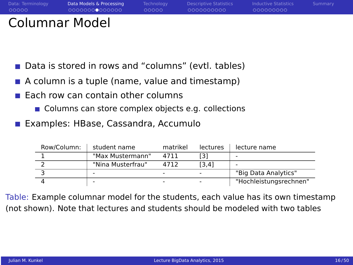<span id="page-15-0"></span>

| Data: Terminology<br>00000 | Data Models & Processing<br>00000000000000 | Technology<br>00000 | <b>Descriptive Statistics</b><br>0000000000 | <b>Inductive Statistics</b><br>000000000 | Summary |
|----------------------------|--------------------------------------------|---------------------|---------------------------------------------|------------------------------------------|---------|
|                            |                                            |                     |                                             |                                          |         |

### Columnar Model

- Data is stored in rows and "columns" (evtl. tables)
- $\blacksquare$  A column is a tuple (name, value and timestamp)
- Each row can contain other columns
	- Columns can store complex objects e.g. collections
- **Examples: HBase, Cassandra, Accumulo**

| Row/Column: | student name      | matrikel | lectures | lecture name           |
|-------------|-------------------|----------|----------|------------------------|
|             | "Max Mustermann"  | 4711     | [3]      |                        |
|             | "Nina Musterfrau" | 4712     | [3.4]    |                        |
|             |                   |          |          | "Big Data Analytics"   |
|             |                   |          |          | "Hochleistungsrechnen" |

Table: Example columnar model for the students, each value has its own timestamp (not shown). Note that lectures and students should be modeled with two tables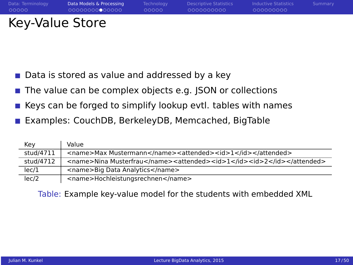<span id="page-16-0"></span>

| Data: Terminology | Data Models & Processing | Technology | Descriptive Statistics | <b>Inductive Statistics</b> | Summary |
|-------------------|--------------------------|------------|------------------------|-----------------------------|---------|
| - 00000           | 00000000000000           | LOQQQ.     | 0000000000             | 000000000                   |         |
| Key-Value Store   |                          |            |                        |                             |         |

- Data is stored as value and addressed by a key
- The value can be complex objects e.g. JSON or collections П
- Keys can be forged to simplify lookup evtl. tables with names
- Examples: CouchDB, BerkeleyDB, Memcached, BigTable

| Key       | Value                                                                  |
|-----------|------------------------------------------------------------------------|
| stud/4711 | <name>Max Mustermann</name> <attended><id>1</id></attended>            |
| stud/4712 | <name>Nina Musterfrau</name> <attended><id>1</id><id>2</id></attended> |
| lec/1     | <name>Big Data Analytics</name>                                        |
| lec/2     | <name>Hochleistungsrechnen</name>                                      |

Table: Example key-value model for the students with embedded XML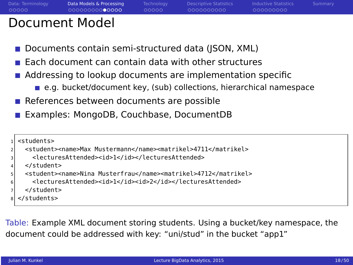00000

0000000000

000000000

## <span id="page-17-0"></span>Document Model

- Documents contain semi-structured data (JSON, XML)
- $\blacksquare$  Each document can contain data with other structures
- Addressing to lookup documents are implementation specific
	- e.g. bucket/document key, (sub) collections, hierarchical namespace
- $\blacksquare$  References between documents are possible
- Examples: MongoDB, Couchbase, DocumentDB

```
<students>
  2 <student><name>Max Mustermann</name><matrikel>4711</matrikel>
    3 <lecturesAttended><id>1</id></lecturesAttended>
  4 </student>
  5 <student><name>Nina Musterfrau</name><matrikel>4712</matrikel>
    6 <lecturesAttended><id>1</id><id>2</id></lecturesAttended>
  </student>
8 </students>
```
Table: Example XML document storing students. Using a bucket/key namespace, the document could be addressed with key: "uni/stud" in the bucket "app1"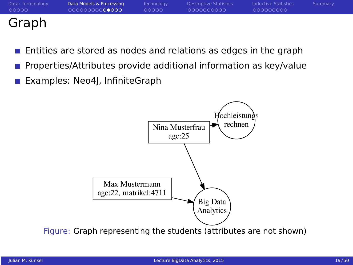|       | Data: Terminology |  |
|-------|-------------------|--|
| 00000 |                   |  |

## Graph

- Entities are stored as nodes and relations as edges in the graph
- Properties/Attributes provide additional information as key/value
- Examples: Neo4J, InfiniteGraph

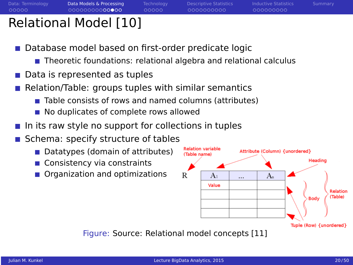00000

0000000000

000000000

## Relational Model [10]

- Database model based on first-order predicate logic
	- Theoretic foundations: relational algebra and relational calculus
- Data is represented as tuples
- Relation/Table: groups tuples with similar semantics
	- Table consists of rows and named columns (attributes)
	- No duplicates of complete rows allowed
- In its raw style no support for collections in tuples
- Schema: specify structure of tables
	- Datatypes (domain of attributes)
	- Consistency via constraints
	- Organization and optimizations

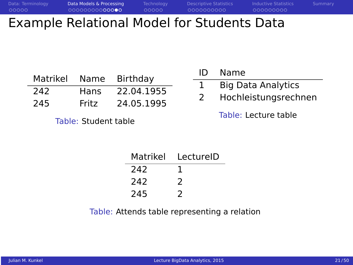## Example Relational Model for Students Data

| Matrikel | Name  | Birthday   |
|----------|-------|------------|
| 242      | Hans  | 22.04.1955 |
| 245      | Fritz | 24.05.1995 |

Table: Student table

| ID | Name                      |
|----|---------------------------|
|    | <b>Big Data Analytics</b> |
| 2  | Hochleistungsrechnen      |

Table: Lecture table

| Matrikel | LectureID |
|----------|-----------|
| 242      |           |
| 242      | 2         |
| 245      | 7         |

Table: Attends table representing a relation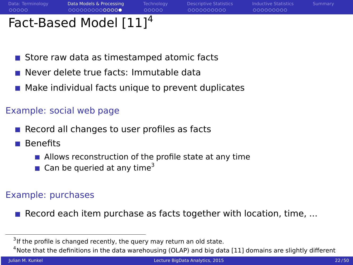0000000000

000000000

# Fact-Based Model [111<sup>4</sup>

- Store raw data as timestamped atomic facts
- Never delete true facts: Immutable data
- **Make individual facts unique to prevent duplicates**

### Example: social web page

- $\blacksquare$  Record all changes to user profiles as facts
- Benefits
	- $\blacksquare$  Allows reconstruction of the profile state at any time
	- $\blacksquare$  Can be queried at any time<sup>3</sup>

### Example: purchases

Record each item purchase as facts together with location, time,  $\dots$ 

<sup>&</sup>lt;sup>3</sup>If the profile is changed recently, the query may return an old state.

 $4$ Note that the definitions in the data warehousing (OLAP) and big data [11] domains are slightly different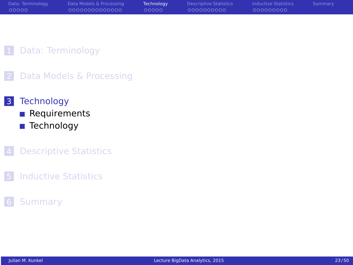<span id="page-22-0"></span>

| Data: Terminology | Data Models & Processing | <b>Technology</b> | Descriptive Statistics | Inductive Statistics | Summary |
|-------------------|--------------------------|-------------------|------------------------|----------------------|---------|
| 00000             | 00000000000000           | ററററ              | 0000000000             | 000000000            |         |
|                   |                          |                   |                        |                      |         |

#### 1 [Data: Terminology](#page-2-0)

2 [Data Models & Processing](#page-7-0)

#### 3 [Technology](#page-22-0)

- **[Requirements](#page-23-0)**
- [Technology](#page-24-0)

#### **4** [Descriptive Statistics](#page-28-0)

5 [Inductive Statistics](#page-39-0)

#### 6 [Summary](#page-49-0)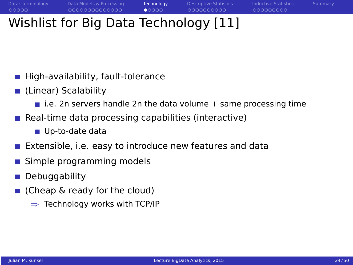# <span id="page-23-0"></span>Wishlist for Big Data Technology [11]

- High-availability, fault-tolerance
- (Linear) Scalability
	- $\blacksquare$  i.e. 2n servers handle 2n the data volume  $+$  same processing time
- $\blacksquare$  Real-time data processing capabilities (interactive)
	- Up-to-date data
- Extensible, i.e. easy to introduce new features and data
- Simple programming models
- Debuggability
- (Cheap & ready for the cloud)
	- $\Rightarrow$  Technology works with TCP/IP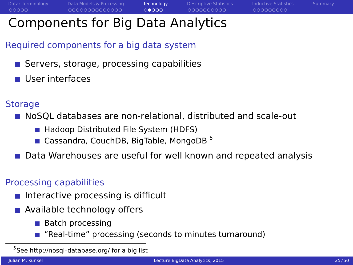$00000$ 

000000000

## <span id="page-24-0"></span>Components for Big Data Analytics

### Required components for a big data system

- Servers, storage, processing capabilities
- User interfaces

### **Storage**

**NoSOL databases are non-relational, distributed and scale-out** 

- Hadoop Distributed File System (HDFS)
- Cassandra, CouchDB, BigTable, MongoDB<sup>5</sup>
- Data Warehouses are useful for well known and repeated analysis

### Processing capabilities

- $\blacksquare$  Interactive processing is difficult
- **Available technology offers** 
	- $\blacksquare$  Batch processing
	- "Real-time" processing (seconds to minutes turnaround)

<sup>&</sup>lt;sup>5</sup>See<http://nosql-database.org/> for a big list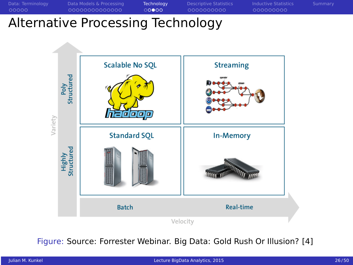## Alternative Processing Technology



Figure: Source: Forrester Webinar. Big Data: Gold Rush Or Illusion? [4]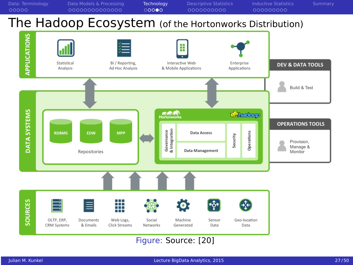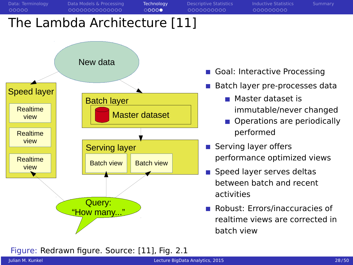

- Speed layer serves deltas between batch and recent activities
- **Robust: Errors/inaccuracies of** realtime views are corrected in batch view

Figure: Redrawn figure. Source: [11], Fig. 2.1

Query: "How many..."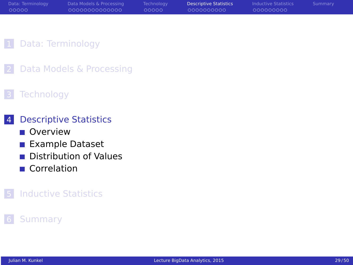<span id="page-28-0"></span>

| 00000<br>000000000<br>00000000000000<br>0000000000<br>00000 | Data: Terminology | Data Models & Processing | <b>Technology</b> | <b>Descriptive Statistics</b> | Inductive Statistics | Summary |
|-------------------------------------------------------------|-------------------|--------------------------|-------------------|-------------------------------|----------------------|---------|
|                                                             |                   |                          |                   |                               |                      |         |

#### 1 [Data: Terminology](#page-2-0)

2 [Data Models & Processing](#page-7-0)

#### **[Technology](#page-22-0)**

#### 4 [Descriptive Statistics](#page-28-0)

- **[Overview](#page-29-0)**
- [Example Dataset](#page-32-0)
- [Distribution of Values](#page-33-0)
- [Correlation](#page-37-0)

#### **[Inductive Statistics](#page-39-0)**

#### **[Summary](#page-49-0)**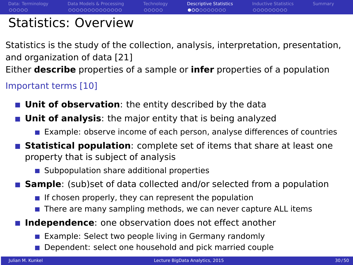<span id="page-29-0"></span>

00000

 $0000000000$ 

000000000

## Statistics: Overview

Statistics is the study of the collection, analysis, interpretation, presentation, and organization of data [21]

Either **describe** properties of a sample or **infer** properties of a population

Important terms [10]

- **Unit of observation**: the entity described by the data
- **Unit of analysis**: the major entity that is being analyzed
	- **EXample: observe income of each person, analyse differences of countries**
- **Statistical population**: complete set of items that share at least one property that is subject of analysis
	- Subpopulation share additional properties
- **Sample**: (sub)set of data collected and/or selected from a population
	- If chosen properly, they can represent the population
	- $\blacksquare$  There are many sampling methods, we can never capture ALL items
- **Independence**: one observation does not effect another
	- **Example: Select two people living in Germany randomly**
	- Dependent: select one household and pick married couple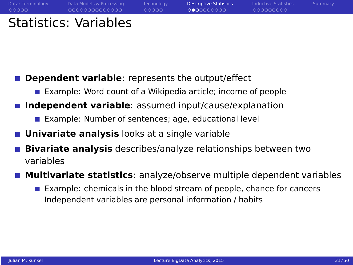| Data: Terminology | Data Models & Processing     | Technology | <b>Descriptive Statistics</b> | <b>Inductive Statistics</b> | Summary |
|-------------------|------------------------------|------------|-------------------------------|-----------------------------|---------|
| 00000             | 00000000000000               | LOQQQQ     | 0000000000                    | 000000000                   |         |
|                   | <b>Statistics: Variables</b> |            |                               |                             |         |

- **Dependent variable**: represents the output/effect
	- Example: Word count of a Wikipedia article; income of people
- **I** Independent variable: assumed input/cause/explanation
	- **Example: Number of sentences; age, educational level**
- **Univariate analysis** looks at a single variable
- **Bivariate analysis** describes/analyze relationships between two variables
- **Multivariate statistics**: analyze/observe multiple dependent variables
	- Example: chemicals in the blood stream of people, chance for cancers Independent variables are personal information / habits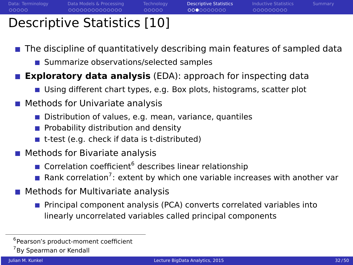0000000000

000000000

## Descriptive Statistics [10]

The discipline of quantitatively describing main features of sampled data

■ Summarize observations/selected samples

**Exploratory data analysis** (EDA): approach for inspecting data

Using different chart types, e.g. Box plots, histograms, scatter plot

### **Methods for Univariate analysis**

- Distribution of values, e.g. mean, variance, quantiles
- **Probability distribution and density**
- $\blacksquare$  t-test (e.g. check if data is t-distributed)
- Methods for Bivariate analysis
	- Correlation coefficient<sup>6</sup> describes linear relationship
	- Rank correlation<sup>7</sup>: extent by which one variable increases with another var
- **Methods for Multivariate analysis** 
	- **Principal component analysis (PCA) converts correlated variables into** linearly uncorrelated variables called principal components

<sup>6</sup> Pearson's product-moment coefficient

<sup>&</sup>lt;sup>7</sup>By Spearman or Kendall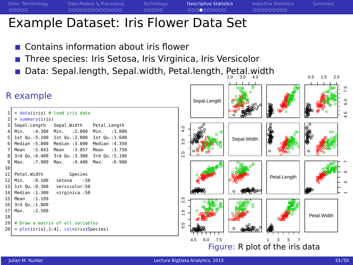<span id="page-32-0"></span>

# Example Dataset: Iris Flower Data Set

- Contains information about iris flower
- Three species: Iris Setosa, Iris Virginica, Iris Versicolor
- Data: Sepal.length, Sepal.width, Petal.length, Petal.width



```
> data(iris) # load iris data
   2 > summary(iris)
   Sepal.Length Sepal.Width Petal.Length
   4 Min. :4.300 Min. :2.000 Min. :1.000
   5 1st Qu.:5.100 1st Qu.:2.800 1st Qu.:1.600
   Median :5.800 Median :3.000
   7 Mean :5.843 Mean :3.057 Mean :3.758
 8 3rd Qu.:6.400 3rd Qu.:3.300 3rd Qu.:5.100
 9 Max. :7.900 Max. :4.400 Max. :6.900
10
11 Petal.Width Species
12 Min. :0.100 setosa :50
13 1st Qu.:0.300 versicolor:50
14 Median :1.300 virginica :50
15 Mean :1.199
16 3rd Qu.:1.800
17 Max. :2.500
18
19 # Draw a matrix of all variables
20 > plot(iris[.1:4], col=irissSpecies)
```
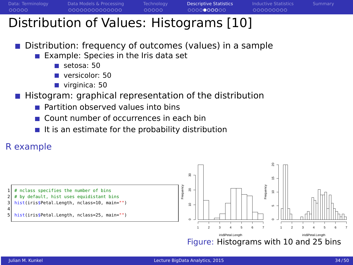<span id="page-33-0"></span>

0000000000

# Distribution of Values: Histograms [10]

- Distribution: frequency of outcomes (values) in a sample
	- Example: Species in the Iris data set
		- setosa: 50
		- versicolor: 50
		- virginica: 50
- Histogram: graphical representation of the distribution
	- **Partition observed values into bins**
	- Count number of occurrences in each bin
	- $\blacksquare$  It is an estimate for the probability distribution



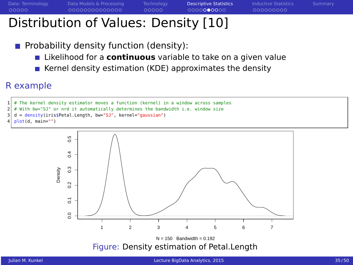000000000

## Distribution of Values: Density [10]

- **Probability density function (density):** 
	- **E** Likelihood for a **continuous** variable to take on a given value
	- Kernel density estimation (KDE) approximates the density

### R example

```
The kernel density estimator moves a function (kernel) in a window across samples
```

```
With bw="SJ" or nrd it automatically determines the bandwidth i.e. window size
```

```
3 d = density(iris$Petal.Length, bw="SJ", kernel="gaussian")
```

```
plot(d, main="")
```
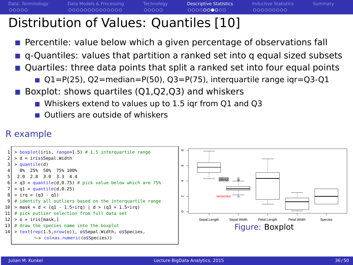# Distribution of Values: Quantiles [10]

- Percentile: value below which a given percentage of observations fall
- **q** q-Quantiles: values that partition a ranked set into q equal sized subsets
- Quartiles: three data points that split a ranked set into four equal points
	- $Q1 = P(25)$ ,  $Q2 = \text{median} = P(50)$ ,  $Q3 = P(75)$ , interquartile range igr= $Q3 Q1$
- Boxplot: shows quartiles (Q1,Q2,Q3) and whiskers
	- Whiskers extend to values up to 1.5 igr from Q1 and Q3
	- Outliers are outside of whiskers

### R example

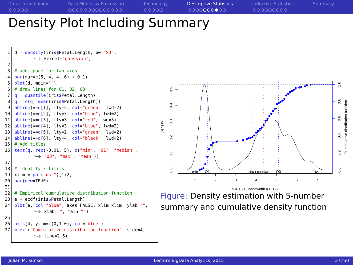[Data: Terminology](#page-2-0) [Data Models & Processing](#page-7-0) [Technology](#page-22-0) [Descriptive Statistics](#page-28-0) [Inductive Statistics](#page-39-0) [Summary](#page-49-0) Density Plot Including Summary  $=$  density(iris\$Petal.Length, bw="SJ", ,→ kernel="gaussian") 2 # add space for two axes  $par(max=c(5, 4, 4, 6) + 0.1)$ 5 plot(d, main="")

```
# draw lines for 01, 02, 037 q = quantile(iris$Petal.Length)
 8 \nvert q = c(q, \text{ mean}(iris$Petal.length))<br>abline(y-q[1] lty-2 col-"green"
    abline(v=q[1], lty=2, col="green". lwd=2)
10 abline(y=q[2], lty=3, col="blue", lwd=2)
11 abline(v=q[3], lty=3, col="red", lwd=3)
12 \mid \frac{\text{abline}}{\text{v}=q[4]}, lty=3, col="blue", lwd=2)
13 abline(y=q[5], lty=2, col="green", lwd=2)
14 \overline{\text{abline}}(v=q[6], 1ty=4, col="black", lwd=2)
15 # Add titles
16 \mid \text{text}(q, rep(-0.01, 5), c("min", "Q1", "median",,→ "Q3", "max", "mean"))
17
18 \# identify x limits
\begin{cases} 19 \times \text{lim} = \text{par}("usr")[1:2] \\ \text{par}(\text{new}=\text{TRUE}) \end{cases}par(new=TRUE)
21
22 \mid # Empirical cummulative distribution function
23 \mid e = \text{ecdf}(i \text{risS}\text{Peta}. Length)
24 plot(e, col="blue", axes=FALSE, xlim=xlim, ylab="",
              \hookrightarrow xlab="", main="")
25
26 \mid axis(4, y \text{lim=c}(0, 1.0), col="blue")27 mtext("Cummulative distribution function", side=4,
              \leftrightarrow line=2.5)
```
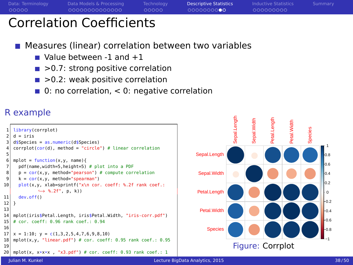<span id="page-37-0"></span>

## Correlation Coefficients

### Measures (linear) correlation between two variables

- $\blacksquare$  Value between -1 and  $+1$
- $\blacksquare$  > 0.7: strong positive correlation
- $\blacksquare$  >0.2: weak positive correlation
- $\blacksquare$  0: no correlation, < 0: negative correlation

### R example

```
1 library(corrplot)
   d = \text{ire}3 d$Species = as.numeric(d$Species)
   corplot(cor(d)), method = "circle") # linear correlation
 5
 6 mplot = \frac{function(x,y, name)}{add(b-5, height-5)}7 pdf(name,width=5,height=5) # plot into a PDF
 8 \mid p = cor(x,y, method="pearson") # compute correlation
 9 \mid k = \text{cor}(x, y, \text{ method} = "spearman")10^{\circ} plot(x,y, xlab=sprintf("x\n cor. coeff: %.2f rank coef.:
              \rightarrow %.2f", p, k))
11 dev.off()
12 }
13
14 mplot(iris$Petal.Length, iris$Petal.Width, "iris-corr.pdf")
15 # cor. coeff: 0.96 rank coef.: 0.94
16
17 \times 100; y = c(1,3,2,5,4,7,6,9,8,10)18 mplot(x,v, "linear.pdf") # cor. coeff: 0.95 rank coef.: 0.9519
20 mplot(x, x*x*x , "x3.pdf") # cor. coeff: 0.93 rank coef.: 1
```
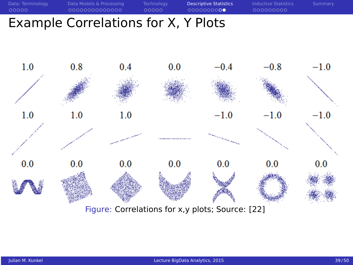## Example Correlations for X, Y Plots

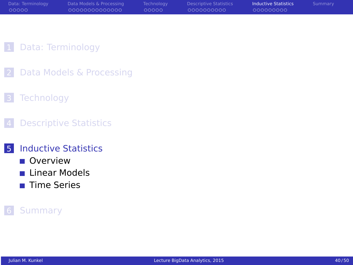<span id="page-39-0"></span>

| Data: Terminology | Data Models & Processing | Technology | <b>Descriptive Statistics</b> | <b>Inductive Statistics</b> | Summary |
|-------------------|--------------------------|------------|-------------------------------|-----------------------------|---------|
| 00000             | 00000000000000           | 00000      | 0000000000                    | 000000000                   |         |

- 1 [Data: Terminology](#page-2-0)
- 2 [Data Models & Processing](#page-7-0)
- 3 [Technology](#page-22-0)
- **4** [Descriptive Statistics](#page-28-0)
- 5 [Inductive Statistics](#page-39-0)
	- [Overview](#page-40-0)
	- **[Linear Models](#page-43-0)**
	- **■** [Time Series](#page-46-0)

#### **[Summary](#page-49-0)**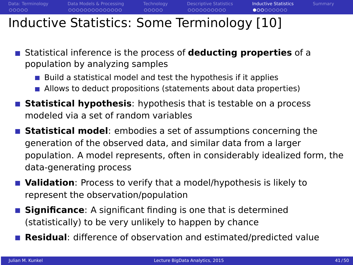<span id="page-40-0"></span>

 $00000$ 

## Inductive Statistics: Some Terminology [10]

- Statistical inference is the process of **deducting properties** of a population by analyzing samples
	- Build a statistical model and test the hypothesis if it applies
	- **Allows to deduct propositions (statements about data properties)**
- **Statistical hypothesis**: hypothesis that is testable on a process modeled via a set of random variables
- **Statistical model**: embodies a set of assumptions concerning the generation of the observed data, and similar data from a larger population. A model represents, often in considerably idealized form, the data-generating process
- **Validation**: Process to verify that a model/hypothesis is likely to represent the observation/population
- **Significance:** A significant finding is one that is determined (statistically) to be very unlikely to happen by chance
- **Residual**: difference of observation and estimated/predicted value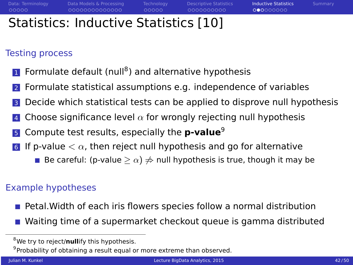000000000

## Statistics: Inductive Statistics [10]

### Testing process

- 1 Formulate default (null<sup>8</sup>) and alternative hypothesis
- <sup>2</sup> Formulate statistical assumptions e.g. independence of variables
- Decide which statistical tests can be applied to disprove null hypothesis
- Choose significance level  $\alpha$  for wrongly rejecting null hypothesis
- <sup>5</sup> Compute test results, especially the **p-value**<sup>9</sup>
- 6 If p-value  $< \alpha$ , then reject null hypothesis and go for alternative
	- **■** Be careful: (p-value  $> \alpha$ )  $\neq$  null hypothesis is true, though it may be

### Example hypotheses

- **Petal. Width of each iris flowers species follow a normal distribution**
- Waiting time of a supermarket checkout queue is gamma distributed

<sup>8</sup>We try to reject/**null**ify this hypothesis.

<sup>&</sup>lt;sup>9</sup> Probability of obtaining a result equal or more extreme than observed.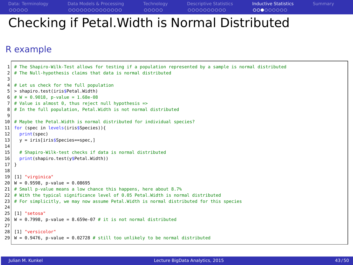## Checking if Petal.Width is Normal Distributed

#### R example

```
The Shapiro-Wilk-Test allows for testing if a population represented by a sample is normal distributed
 2 # The Null-hypothesis claims that data is normal distributed
 3
 4 # Let us check for the full population
 5 > shapiro.test(iris$Petal.Width)<br>6 \# W = 0.9918 p-value = 1.68e-08
   6 # W = 0.9018, p-value = 1.68e-08
 7 \# Value is almost 0, thus reject null hypothesis =>
 8 \# In the full population, Petal. Width is not normal distributed
 9
10 \# Maybe the Petal.Width is normal distributed for individual species?
11 for (spec in levels(iris$Species)){<br>12 print(spec)
12 \begin{array}{c|c} \text{print(spec)} \\ \text{13} \end{array}v = iris[iris$Species==spec.]
\begin{array}{c} 14 \\ 15 \end{array}15 # Shapiro-Wilk-test checks if data is normal distributed<br>16 print(shapiro.test(v$Petal.Width))
    print(shapiro.test(y$Petal.Width))<br>}
17 }
18
19 [1] "virginica"
20 W = 0.9598, p-value = 0.08695
21 \# Small p-value means a low chance this happens, here about 8.7%
22 # With the typical significance level of 0.05 Petal.Width is normal distributed
23 # For simplicitly, we may now assume Petal. Width is normal distributed for this species
24
25 [1] "setosa"
26 W = 0.7998, p-value = 8.659e-07 # it is not normal distributed
27
28 [1] "versicolor"
29 W = 0.9476, p-value = 0.02728 # still too unlikely to be normal distributed
```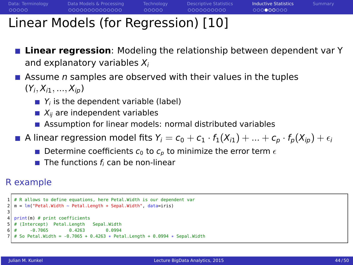000000000

# <span id="page-43-0"></span>Linear Models (for Regression) [10]

- **Linear regression**: Modeling the relationship between dependent var Y and explanatory variables  $X_i$
- **Assume n samples are observed with their values in the tuples**  $(Y_i, X_{i1}, ..., X_{ip})$ 
	- $\blacksquare$   $Y_i$  is the dependent variable (label)
	- $\blacksquare$   $X_{ii}$  are independent variables
	- **Assumption for linear models: normal distributed variables**
- A linear regression model fits  $Y_i = c_0 + c_1 \cdot f_1(X_{i1}) + ... + c_p \cdot f_p(X_{ip}) + \epsilon_i$ 
	- **Determine coefficients**  $c_0$  **to**  $c_p$  **to minimize the error term**  $\epsilon$
	- $\blacksquare$  The functions  $f_i$  can be non-linear

### R example

```
# R allows to define equations, here Petal. Width is our dependent var
  2 m = lm("Petal.Width ~ Petal.Length + Sepal.Width", data=iris)
3
  print(m) # print coefficients
  # (Intercept) Petal.Length Sepal.Width
6 # -0.7065 0.4263 0.0994
  # So Petal.Width = -0.7065 + 0.4263 * Petal.Length + 0.0994 * Sepal.Width
```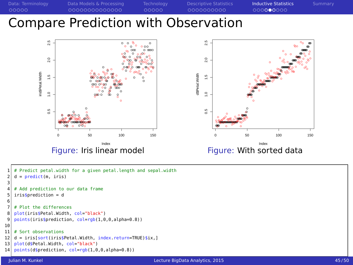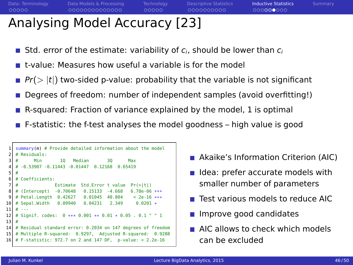$00000$ 

0000000000

000000000

# Analysing Model Accuracy [23]

- Std. error of the estimate: variability of  $c_i$ , should be lower than  $c_i$
- $\blacksquare$  t-value: Measures how useful a variable is for the model
- $Pr(>|t|)$  two-sided p-value: probability that the variable is not significant
- Degrees of freedom: number of independent samples (avoid overfitting!)
- R-squared: Fraction of variance explained by the model, 1 is optimal
- **F**-statistic: the f-test analyses the model goodness high value is good

```
summary(m) # Provide detailed information about the model
 2 # Residuals:
           Min 10 Median 30 Max
 4 # -0.53907 -0.11443 -0.01447 0.12168 0.65419
 5 #
 6 # Coefficients:
 7 # Estimate Std.Error t value Pr(>|t|)
8 # (Intercept) -0.70648 0.15133 -4.668 6.78e-06 ***<br>9 # Petal.length 0.42627 0.01045 40.804 < 2e-16 ***
9 # Petal.Length 0.42627 0.01045 40.804 < 2e-16 *<br>10 # Sepal.Width 0.09940 0.04231 2.349 0.0201 *
   # Sepal.Width 0.09940
1112 # Signif. codes: 0 *** 0.001 ** 0.01 * 0.05 . 0.1 " " 1
13 #
14 # Residual standard error: 0.2034 on 147 degrees of freedom
15 # Multiple R-squared: 0.9297, Adjusted R-squared: 0.9288
16 # F-statistic: 972.7 on 2 and 147 DF, p-value: < 2.2e-16
```
- Akaike's Information Criterion (AIC)
- I Idea: prefer accurate models with smaller number of parameters
- **Test various models to reduce AIC**
- **Improve good candidates**
- **AIC allows to check which models** can be excluded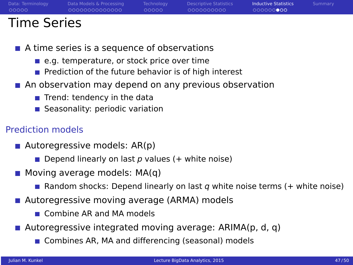<span id="page-46-0"></span>

00000

0000000000

 $0000000000$ 

## Time Series

- A time series is a sequence of observations
	- e.g. temperature, or stock price over time
	- **Prediction of the future behavior is of high interest**
- An observation may depend on any previous observation
	- $\blacksquare$  Trend: tendency in the data
	- Seasonality: periodic variation

### Prediction models

- **Autoregressive models: AR(p)** 
	- Depend linearly on last  $p$  values (+ white noise)
- $\blacksquare$  Moving average models: MA(q)
	- **Random shocks: Depend linearly on last q white noise terms (+ white noise)**
- Autoregressive moving average (ARMA) models
	- Combine AR and MA models
- Autoregressive integrated moving average: ARIMA(p, d, q)
	- Combines AR, MA and differencing (seasonal) models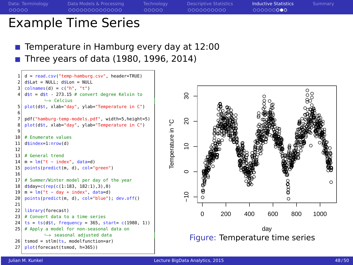0000000000

000000000

## Example Time Series

Temperature in Hamburg every day at 12:00 Three years of data (1980, 1996, 2014)

```
= read.csv("temp-hamburg.csv", header=TRUE)
    2 d$Lat = NULL; d$Lon = NULL
    colnames(d) = c("h". "t")d$t = d$t - 273.15 # convert degree Kelvin to
             ,→ Celcius
    plot(d$t, xlab="day", ylab="Temperature in C")
 6
 7 \mid pdf("hamburg-temp-models.pdf", width=5,height=5)<br>8.plot(dft, xlab="day", ylab="Temperature in C")
    8 plot(d$t, xlab="day", ylab="Temperature in C")
 9
10 # Enumerate values
11 d$index=1:nrow(d)
\frac{12}{13}13 # General trend
14 \mid m = \text{lm}("t - index", data=d)15 points(predict(m, d), col="green")
16
17 # Summer/Winter model per day of the year
18 d$day=c(rep(c(1:183, 182:1),3),0)
19 m = \text{lm}("t - day + index", data=d)20 points(predict(m, d), col="blue"); dev.off()
21
22 library(forecast)
23 \mid # Convert data to a time series
24 \text{ ts} = \text{ts}(d\text{st}, \text{ frequency} = 365, \text{ start} = c(1980, 1))25 # Apply a model for non-seasonal data on
             ,→ seasonal adjusted data
26 tsmod = stlm(ts, modelfunction=ar)
27 plot(forecast(tsmod, h=365))
```
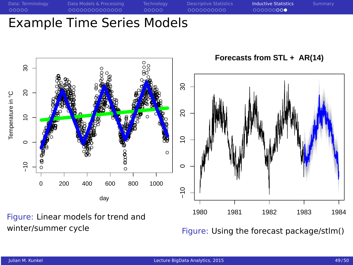### **Example Time Series Models**



Figure: Linear models for trend and winter/summer cycle

Figure: Using the forecast package/stlm()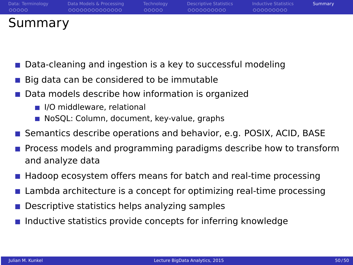<span id="page-49-0"></span>

| Data: Terminology | Data Models & Processing | <b>Technology</b> | Descriptive Statistics | <b>Inductive Statistics</b> | Summary |
|-------------------|--------------------------|-------------------|------------------------|-----------------------------|---------|
| 00000             | 00000000000000           | -ററററ             | 0000000000             | 000000000                   |         |
| Summary           |                          |                   |                        |                             |         |

- Data-cleaning and ingestion is a key to successful modeling
- Big data can be considered to be immutable
- Data models describe how information is organized
	- I/O middleware, relational
	- NoSQL: Column, document, key-value, graphs
- **Semantics describe operations and behavior, e.g. POSIX, ACID, BASE**
- Process models and programming paradigms describe how to transform and analyze data
- Hadoop ecosystem offers means for batch and real-time processing
- Lambda architecture is a concept for optimizing real-time processing
- Descriptive statistics helps analyzing samples
- Inductive statistics provide concepts for inferring knowledge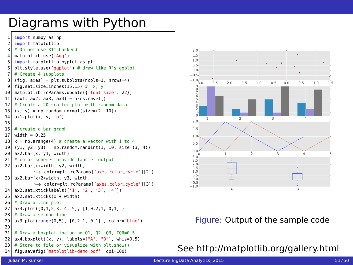## Diagrams with Python

```
1 import numpy as np
   import matplotlib
   # Do not use X11 backend
   matplotlib.use('Aqq')
   import matplotlib.pyplot as plt
   6 plt.style.use('ggplot') # draw like R's ggplot
   # Create 4 subplots
 8 (fig, axes) = plt.subplots(ncols=1, nrows=4)<br>9 fig set size inches(15, 15) \# x y
   fig.set_size_inches(15,15) # x, y
10 matplotlib.rcParams.update({'font.size': 22})
11 (ax1, ax2, ax3, ax4) = axes.ravel()
12 # Create a 2D scatter plot with random data
13 (x, y) = np.random.normal(size=(2, 10))14 ax1.plot(x, y, 'o')
15
16 \# create a bar graph
17 width = 0.25
18 \mid x = np.arange(4) # create a vector with 1 to 4
19 (y1, y2, y3) = np.random.randnint(1, 10, size=(3, 4))20 ax2.bar(x, y1, width)
21 # color schemes provide fancier output
22 ax2.bar(x+width, y2, width,
           ,→ color=plt.rcParams['axes.color_cycle'][2])
23 ax2.bar(x+2*width, y3, width,
           ,→ color=plt.rcParams['axes.color_cycle'][3])
24 ax2.set_xticklabels(['1', '2', '3', '4'])
25 ax2.set_xticks(x + width)
26 # Draw a line plot
27 ax3.plot([0,1,2,3, 4, 5], [1,0,2,1, 0,1] )
28 # Draw a second line
29 ax3.plot(range(0,5), [0,2,1, 0,1] , color="blue")
30
31 # Draw a boxplot including Q1, Q2, Q3, IQR=0.5
32 \mid ax4.boxplot((x, y), labels=["A", "B"], whis=0.5)
33 \# Store to file or visualize with plt.show()
34 fig.savefig('matplotlib-demo.pdf', dpi=100)
```


#### Figure: Output of the sample code

See<http://matplotlib.org/gallery.html>